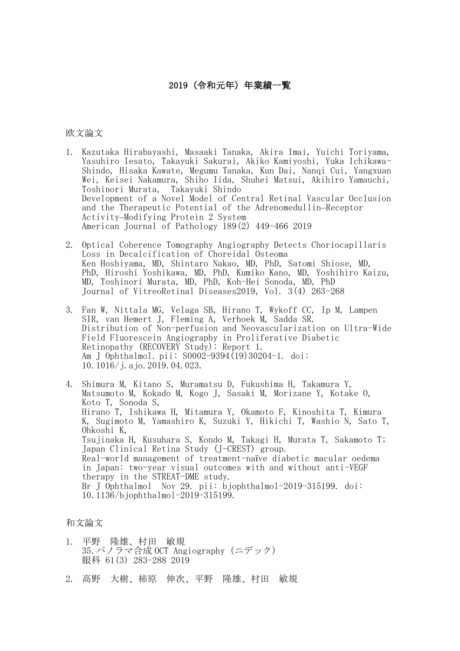## 2019(令和元年)年業績一覧

## 欧文論文

- 1. Kazutaka Hirabayashi, Masaaki Tanaka, Akira Imai, Yuichi Toriyama, Yasuhiro Iesato, Takayuki Sakurai, Akiko Kamiyoshi, Yuka Ichikawa-Shindo, Hisaka Kawate, Megumu Tanaka, Kun Dai, Nanqi Cui, Yangxuan Wei, Keisei Nakamura, Shiho Iida, Shuhei Matsui, Akihiro Yamauchi, Toshinori Murata, Takayuki Shindo Development of a Novel Model of Central Retinal Vascular Occlusion and the Therapeutic Potential of the Adrenomedullin–Receptor Activity–Modifying Protein 2 System American Journal of Pathology 189(2) 449-466 2019
- 2. Optical Coherence Tomography Angiography Detects Choriocapillaris Loss in Decalcification of Choreidal Osteoma Ken Hoshiyama, MD, Shintaro Nakao, MD, PhD, Satomi Shiose, MD, PhD, Hiroshi Yoshikawa, MD, PhD, Kumiko Kano, MD, Yoshihiro Kaizu, MD, Toshinori Murata, MD, PhD, Koh-Hei Sonoda, MD, PhD Journal of VitreoRetinal Diseases2019, Vol. 3(4) 263-268
- 3. Fan W, Nittala MG, Velaga SB, Hirano T, Wykoff CC, Ip M, Lampen SIR, van Hemert J, Fleming A, Verhoek M, Sadda SR. Distribution of Non-perfusion and Neovascularization on Ultra-Wide Field Fluorescein Angiography in Proliferative Diabetic Retinopathy (RECOVERY Study): Report 1. Am J Ophthalmol. pii: S0002-9394(19)30204-1. doi: 10.1016/j.ajo.2019.04.023.
- 4. Shimura M, Kitano S, Muramatsu D, Fukushima H, Takamura Y, Matsumoto M, Kokado M, Kogo J, Sasaki M, Morizane Y, Kotake O, Koto T, Sonoda S, Hirano T, Ishikawa H, Mitamura Y, Okamoto F, Kinoshita T, Kimura K, Sugimoto M, Yamashiro K, Suzuki Y, Hikichi T, Washio N, Sato T, Ohkoshi K, Tsujinaka H, Kusuhara S, Kondo M, Takagi H, Murata T, Sakamoto T; Japan Clinical Retina Study (J-CREST) group. Real-world management of treatment-naïve diabetic macular oedema in Japan: two-year visual outcomes with and without anti-VEGF therapy in the STREAT-DME study. Br J Ophthalmol Nov 29. pii: bjophthalmol-2019-315199. doi: 10.1136/bjophthalmol-2019-315199.

## 和文論文

- 1. 平野 隆雄、村田 敏規 35.パノラマ合成 OCT Angiography (ニデック) 眼科 61(3) 283-288 2019
- 2. 高野 大樹、柿原 伸次、平野 隆雄、村田 敏規